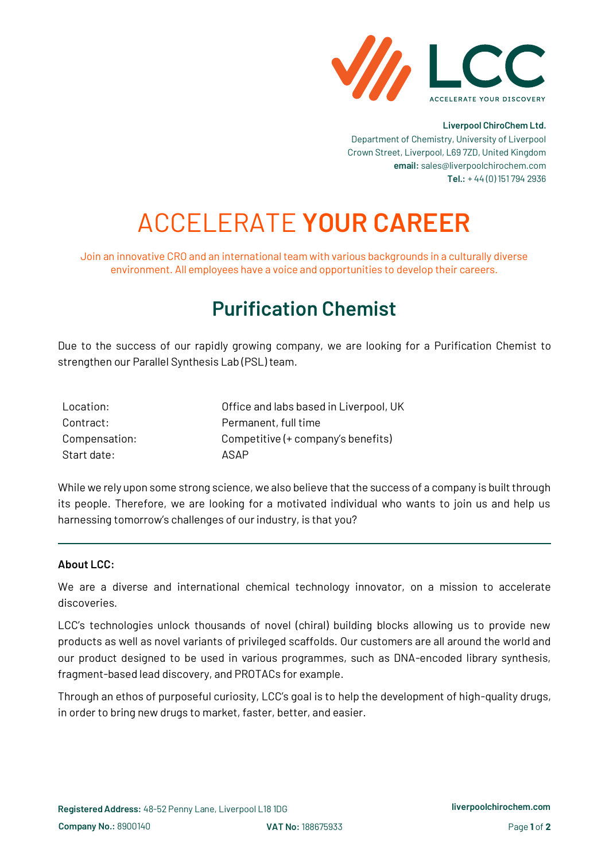

#### **Liverpool ChiroChem Ltd.**

Department of Chemistry, University of Liverpool Crown Street, Liverpool, L69 7ZD, United Kingdom **email:** sales@liverpoolchirochem.com **Tel.:** + 44 (0) 151 794 2936

# ACCELERATE **YOUR CAREER**

Join an innovative CRO and an international team with various backgrounds in a culturally diverse environment. All employees have a voice and opportunities to develop their careers.

## **Purification Chemist**

Due to the success of our rapidly growing company, we are looking for a Purification Chemist to strengthen our Parallel Synthesis Lab (PSL) team.

| Location:     | Office and labs based in Liverpool, UK |
|---------------|----------------------------------------|
| Contract:     | Permanent, full time                   |
| Compensation: | Competitive (+ company's benefits)     |
| Start date:   | ASAP                                   |

While we rely upon some strong science, we also believe that the success of a company is built through its people. Therefore, we are looking for a motivated individual who wants to join us and help us harnessing tomorrow's challenges of our industry, is that you?

#### **About LCC:**

We are a diverse and international chemical technology innovator, on a mission to accelerate discoveries.

LCC's technologies unlock thousands of novel (chiral) building blocks allowing us to provide new products as well as novel variants of privileged scaffolds. Our customers are all around the world and our product designed to be used in various programmes, such as DNA-encoded library synthesis, fragment-based lead discovery, and PROTACs for example.

Through an ethos of purposeful curiosity, LCC's goal is to help the development of high-quality drugs, in order to bring new drugs to market, faster, better, and easier.